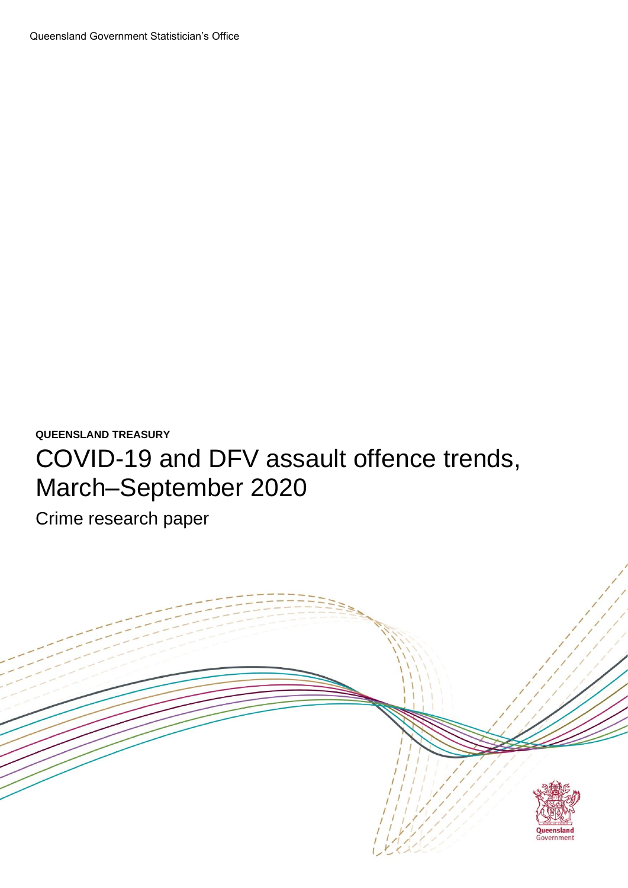**QUEENSLAND TREASURY**

# COVID-19 and DFV assault offence trends, March–September 2020

Crime research paper

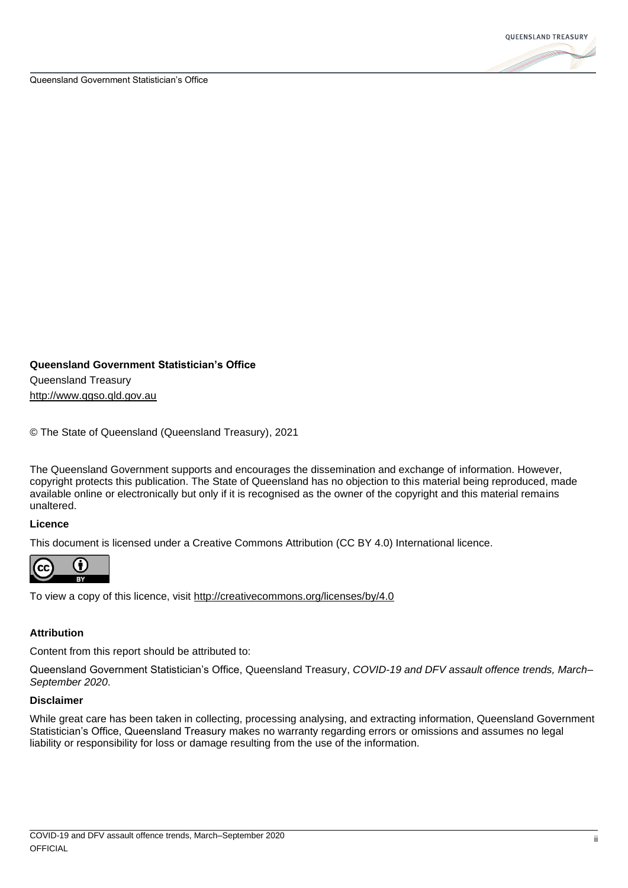

#### **Queensland Government Statistician's Office**

Queensland Treasury [http://www.qgso.qld.gov.au](http://www.qgso.qld.gov.au/)

© The State of Queensland (Queensland Treasury), 2021

The Queensland Government supports and encourages the dissemination and exchange of information. However, copyright protects this publication. The State of Queensland has no objection to this material being reproduced, made available online or electronically but only if it is recognised as the owner of the copyright and this material remains unaltered.

#### **Licence**

This document is licensed under a Creative Commons Attribution (CC BY 4.0) International licence.



To view a copy of this licence, visit<http://creativecommons.org/licenses/by/4.0>

### **Attribution**

Content from this report should be attributed to:

Queensland Government Statistician's Office, Queensland Treasury, *COVID-19 and DFV assault offence trends, March– September 2020*.

#### **Disclaimer**

While great care has been taken in collecting, processing analysing, and extracting information, Queensland Government Statistician's Office, Queensland Treasury makes no warranty regarding errors or omissions and assumes no legal liability or responsibility for loss or damage resulting from the use of the information.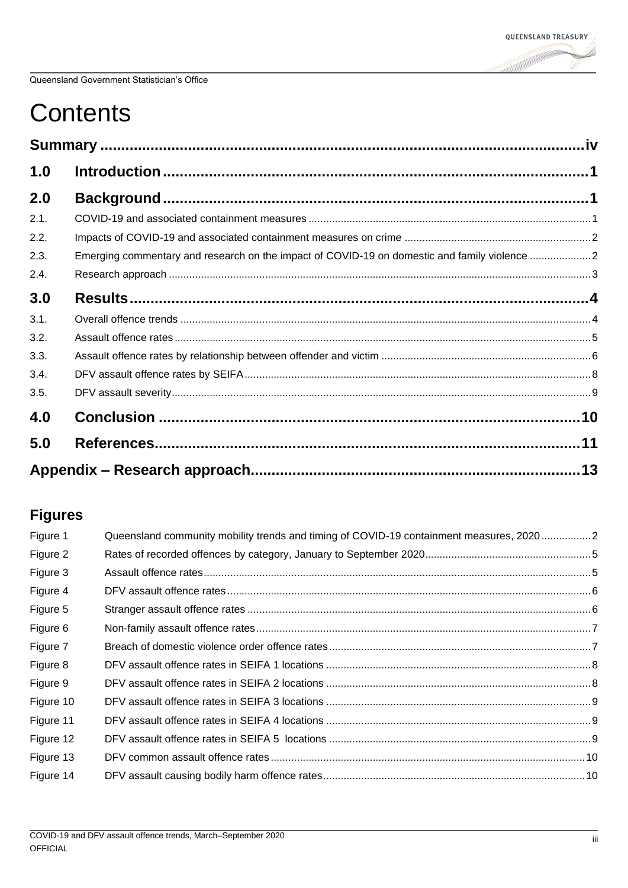# **Contents**

| 1.0  |                                                                                              |  |
|------|----------------------------------------------------------------------------------------------|--|
| 2.0  |                                                                                              |  |
| 2.1. |                                                                                              |  |
| 2.2. |                                                                                              |  |
| 2.3. | Emerging commentary and research on the impact of COVID-19 on domestic and family violence 2 |  |
| 2.4. |                                                                                              |  |
| 3.0  |                                                                                              |  |
| 3.1. |                                                                                              |  |
| 3.2. |                                                                                              |  |
| 3.3. |                                                                                              |  |
| 3.4. |                                                                                              |  |
| 3.5. |                                                                                              |  |
| 4.0  |                                                                                              |  |
| 5.0  |                                                                                              |  |
|      |                                                                                              |  |

# **Figures**

| Figure 1  | Queensland community mobility trends and timing of COVID-19 containment measures, 20202 |  |
|-----------|-----------------------------------------------------------------------------------------|--|
| Figure 2  |                                                                                         |  |
| Figure 3  |                                                                                         |  |
| Figure 4  |                                                                                         |  |
| Figure 5  |                                                                                         |  |
| Figure 6  |                                                                                         |  |
| Figure 7  |                                                                                         |  |
| Figure 8  |                                                                                         |  |
| Figure 9  |                                                                                         |  |
| Figure 10 |                                                                                         |  |
| Figure 11 |                                                                                         |  |
| Figure 12 |                                                                                         |  |
| Figure 13 |                                                                                         |  |
| Figure 14 |                                                                                         |  |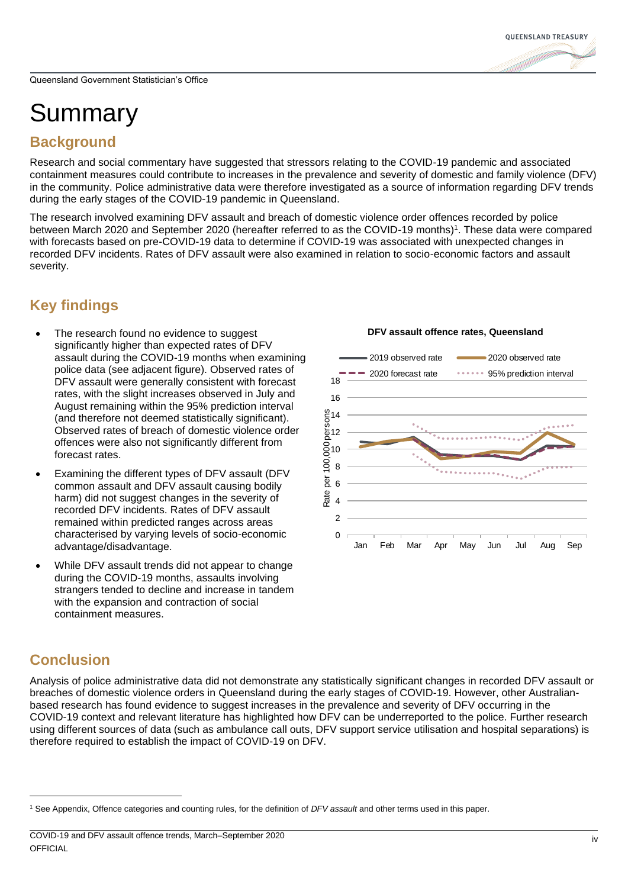# **OUEENSLAND TREASURY**

# <span id="page-3-0"></span>Summary

## **Background**

Research and social commentary have suggested that stressors relating to the COVID-19 pandemic and associated containment measures could contribute to increases in the prevalence and severity of domestic and family violence (DFV) in the community. Police administrative data were therefore investigated as a source of information regarding DFV trends during the early stages of the COVID-19 pandemic in Queensland.

The research involved examining DFV assault and breach of domestic violence order offences recorded by police between March 2020 and September 2020 (hereafter referred to as the COVID-19 months)<sup>1</sup>. These data were compared with forecasts based on pre-COVID-19 data to determine if COVID-19 was associated with unexpected changes in recorded DFV incidents. Rates of DFV assault were also examined in relation to socio-economic factors and assault severity.

# **Key findings**

- The research found no evidence to suggest significantly higher than expected rates of DFV assault during the COVID-19 months when examining police data (see adjacent figure). Observed rates of DFV assault were generally consistent with forecast rates, with the slight increases observed in July and August remaining within the 95% prediction interval (and therefore not deemed statistically significant). Observed rates of breach of domestic violence order offences were also not significantly different from forecast rates.
- Examining the different types of DFV assault (DFV common assault and DFV assault causing bodily harm) did not suggest changes in the severity of recorded DFV incidents. Rates of DFV assault remained within predicted ranges across areas characterised by varying levels of socio-economic advantage/disadvantage.
- While DFV assault trends did not appear to change during the COVID-19 months, assaults involving strangers tended to decline and increase in tandem with the expansion and contraction of social containment measures.

### **DFV assault offence rates, Queensland**



# **Conclusion**

Analysis of police administrative data did not demonstrate any statistically significant changes in recorded DFV assault or breaches of domestic violence orders in Queensland during the early stages of COVID-19. However, other Australianbased research has found evidence to suggest increases in the prevalence and severity of DFV occurring in the COVID-19 context and relevant literature has highlighted how DFV can be underreported to the police. Further research using different sources of data (such as ambulance call outs, DFV support service utilisation and hospital separations) is therefore required to establish the impact of COVID-19 on DFV.

<sup>1</sup> See Appendix, Offence categories and counting rules, for the definition of *DFV assault* and other terms used in this paper.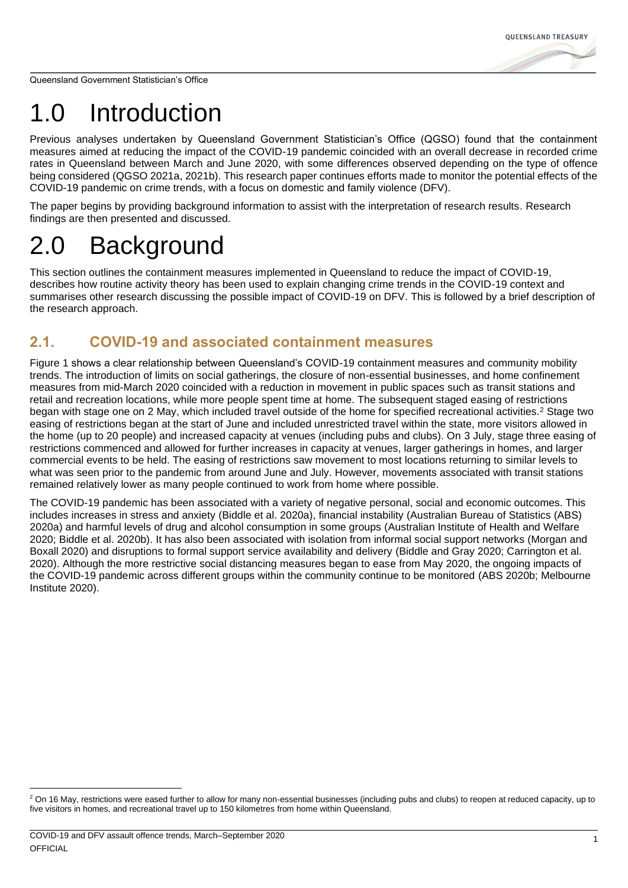# <span id="page-4-0"></span>1.0 Introduction

Previous analyses undertaken by Queensland Government Statistician's Office (QGSO) found that the containment measures aimed at reducing the impact of the COVID-19 pandemic coincided with an overall decrease in recorded crime rates in Queensland between March and June 2020, with some differences observed depending on the type of offence being considered (QGSO 2021a, 2021b). This research paper continues efforts made to monitor the potential effects of the COVID-19 pandemic on crime trends, with a focus on domestic and family violence (DFV).

The paper begins by providing background information to assist with the interpretation of research results. Research findings are then presented and discussed.

# <span id="page-4-1"></span>2.0 Background

This section outlines the containment measures implemented in Queensland to reduce the impact of COVID-19, describes how routine activity theory has been used to explain changing crime trends in the COVID-19 context and summarises other research discussing the possible impact of COVID-19 on DFV. This is followed by a brief description of the research approach.

# <span id="page-4-2"></span>**2.1. COVID-19 and associated containment measures**

[Figure 1](#page-5-2) shows a clear relationship between Queensland's COVID-19 containment measures and community mobility trends. The introduction of limits on social gatherings, the closure of non-essential businesses, and home confinement measures from mid-March 2020 coincided with a reduction in movement in public spaces such as transit stations and retail and recreation locations, while more people spent time at home. The subsequent staged easing of restrictions began with stage one on 2 May, which included travel outside of the home for specified recreational activities.<sup>2</sup> Stage two easing of restrictions began at the start of June and included unrestricted travel within the state, more visitors allowed in the home (up to 20 people) and increased capacity at venues (including pubs and clubs). On 3 July, stage three easing of restrictions commenced and allowed for further increases in capacity at venues, larger gatherings in homes, and larger commercial events to be held. The easing of restrictions saw movement to most locations returning to similar levels to what was seen prior to the pandemic from around June and July. However, movements associated with transit stations remained relatively lower as many people continued to work from home where possible.

The COVID-19 pandemic has been associated with a variety of negative personal, social and economic outcomes. This includes increases in stress and anxiety (Biddle et al. 2020a), financial instability (Australian Bureau of Statistics (ABS) 2020a) and harmful levels of drug and alcohol consumption in some groups (Australian Institute of Health and Welfare 2020; Biddle et al. 2020b). It has also been associated with isolation from informal social support networks (Morgan and Boxall 2020) and disruptions to formal support service availability and delivery (Biddle and Gray 2020; Carrington et al. 2020). Although the more restrictive social distancing measures began to ease from May 2020, the ongoing impacts of the COVID-19 pandemic across different groups within the community continue to be monitored (ABS 2020b; Melbourne Institute 2020).

<sup>&</sup>lt;sup>2</sup> On 16 May, restrictions were eased further to allow for many non-essential businesses (including pubs and clubs) to reopen at reduced capacity, up to five visitors in homes, and recreational travel up to 150 kilometres from home within Queensland.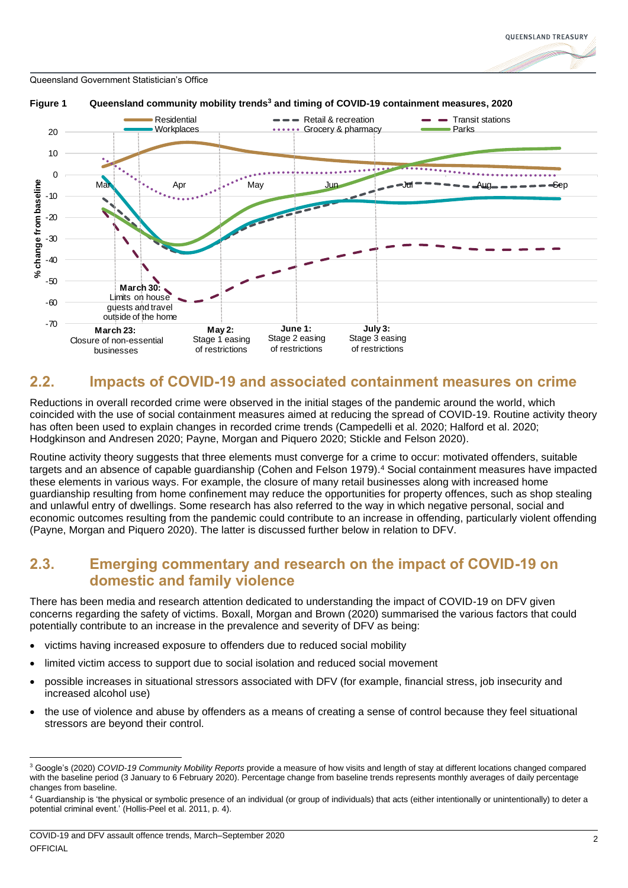

<span id="page-5-2"></span>

### <span id="page-5-0"></span>**2.2. Impacts of COVID-19 and associated containment measures on crime**

Reductions in overall recorded crime were observed in the initial stages of the pandemic around the world, which coincided with the use of social containment measures aimed at reducing the spread of COVID-19. Routine activity theory has often been used to explain changes in recorded crime trends (Campedelli et al. 2020; Halford et al. 2020; Hodgkinson and Andresen 2020; Payne, Morgan and Piquero 2020; Stickle and Felson 2020).

Routine activity theory suggests that three elements must converge for a crime to occur: motivated offenders, suitable targets and an absence of capable guardianship (Cohen and Felson 1979). <sup>4</sup> Social containment measures have impacted these elements in various ways. For example, the closure of many retail businesses along with increased home guardianship resulting from home confinement may reduce the opportunities for property offences, such as shop stealing and unlawful entry of dwellings. Some research has also referred to the way in which negative personal, social and economic outcomes resulting from the pandemic could contribute to an increase in offending, particularly violent offending (Payne, Morgan and Piquero 2020). The latter is discussed further below in relation to DFV.

### <span id="page-5-1"></span>**2.3. Emerging commentary and research on the impact of COVID-19 on domestic and family violence**

There has been media and research attention dedicated to understanding the impact of COVID-19 on DFV given concerns regarding the safety of victims. Boxall, Morgan and Brown (2020) summarised the various factors that could potentially contribute to an increase in the prevalence and severity of DFV as being:

- victims having increased exposure to offenders due to reduced social mobility
- limited victim access to support due to social isolation and reduced social movement
- possible increases in situational stressors associated with DFV (for example, financial stress, job insecurity and increased alcohol use)
- the use of violence and abuse by offenders as a means of creating a sense of control because they feel situational stressors are beyond their control.

<sup>3</sup> Google's (2020) *COVID-19 Community Mobility Reports* provide a measure of how visits and length of stay at different locations changed compared with the baseline period (3 January to 6 February 2020). Percentage change from baseline trends represents monthly averages of daily percentage changes from baseline.

<sup>4</sup> Guardianship is 'the physical or symbolic presence of an individual (or group of individuals) that acts (either intentionally or unintentionally) to deter a potential criminal event.' (Hollis-Peel et al. 2011, p. 4).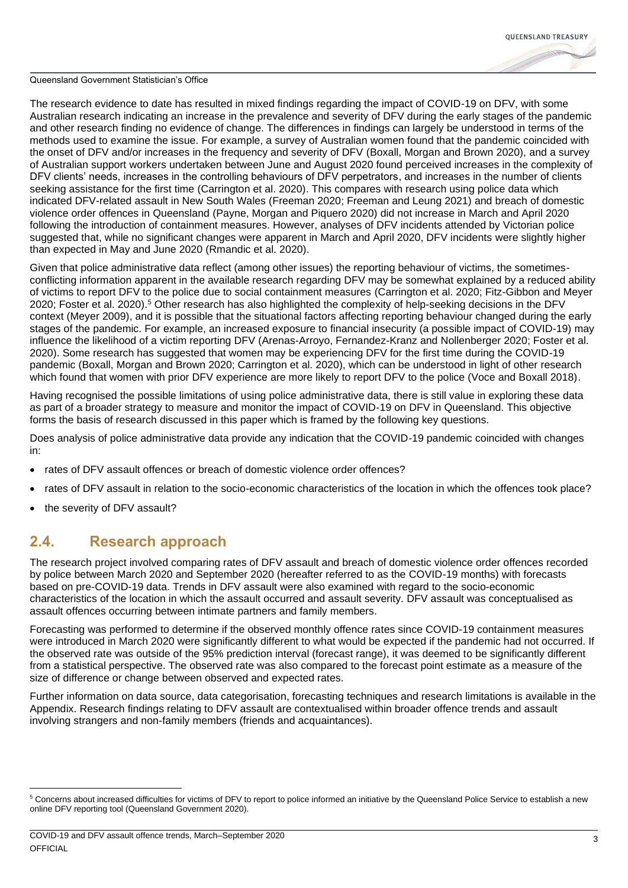

The research evidence to date has resulted in mixed findings regarding the impact of COVID-19 on DFV, with some Australian research indicating an increase in the prevalence and severity of DFV during the early stages of the pandemic and other research finding no evidence of change. The differences in findings can largely be understood in terms of the methods used to examine the issue. For example, a survey of Australian women found that the pandemic coincided with the onset of DFV and/or increases in the frequency and severity of DFV (Boxall, Morgan and Brown 2020), and a survey of Australian support workers undertaken between June and August 2020 found perceived increases in the complexity of DFV clients' needs, increases in the controlling behaviours of DFV perpetrators, and increases in the number of clients seeking assistance for the first time (Carrington et al. 2020). This compares with research using police data which indicated DFV-related assault in New South Wales (Freeman 2020; Freeman and Leung 2021) and breach of domestic violence order offences in Queensland (Payne, Morgan and Piquero 2020) did not increase in March and April 2020 following the introduction of containment measures. However, analyses of DFV incidents attended by Victorian police suggested that, while no significant changes were apparent in March and April 2020, DFV incidents were slightly higher than expected in May and June 2020 (Rmandic et al. 2020).

Given that police administrative data reflect (among other issues) the reporting behaviour of victims, the sometimesconflicting information apparent in the available research regarding DFV may be somewhat explained by a reduced ability of victims to report DFV to the police due to social containment measures (Carrington et al. 2020; Fitz-Gibbon and Meyer 2020; Foster et al. 2020). <sup>5</sup> Other research has also highlighted the complexity of help-seeking decisions in the DFV context (Meyer 2009), and it is possible that the situational factors affecting reporting behaviour changed during the early stages of the pandemic. For example, an increased exposure to financial insecurity (a possible impact of COVID-19) may influence the likelihood of a victim reporting DFV (Arenas-Arroyo, Fernandez-Kranz and Nollenberger 2020; Foster et al. 2020). Some research has suggested that women may be experiencing DFV for the first time during the COVID-19 pandemic (Boxall, Morgan and Brown 2020; Carrington et al. 2020), which can be understood in light of other research which found that women with prior DFV experience are more likely to report DFV to the police (Voce and Boxall 2018).

Having recognised the possible limitations of using police administrative data, there is still value in exploring these data as part of a broader strategy to measure and monitor the impact of COVID-19 on DFV in Queensland. This objective forms the basis of research discussed in this paper which is framed by the following key questions.

Does analysis of police administrative data provide any indication that the COVID-19 pandemic coincided with changes in:

- rates of DFV assault offences or breach of domestic violence order offences?
- rates of DFV assault in relation to the socio-economic characteristics of the location in which the offences took place?
- the severity of DFV assault?

### <span id="page-6-0"></span>**2.4. Research approach**

The research project involved comparing rates of DFV assault and breach of domestic violence order offences recorded by police between March 2020 and September 2020 (hereafter referred to as the COVID-19 months) with forecasts based on pre-COVID-19 data. Trends in DFV assault were also examined with regard to the socio-economic characteristics of the location in which the assault occurred and assault severity. DFV assault was conceptualised as assault offences occurring between intimate partners and family members.

Forecasting was performed to determine if the observed monthly offence rates since COVID-19 containment measures were introduced in March 2020 were significantly different to what would be expected if the pandemic had not occurred. If the observed rate was outside of the 95% prediction interval (forecast range), it was deemed to be significantly different from a statistical perspective. The observed rate was also compared to the forecast point estimate as a measure of the size of difference or change between observed and expected rates.

Further information on data source, data categorisation, forecasting techniques and research limitations is available in the Appendix. Research findings relating to DFV assault are contextualised within broader offence trends and assault involving strangers and non-family members (friends and acquaintances).

<sup>&</sup>lt;sup>5</sup> Concerns about increased difficulties for victims of DFV to report to police informed an initiative by the Queensland Police Service to establish a new online DFV reporting tool (Queensland Government 2020).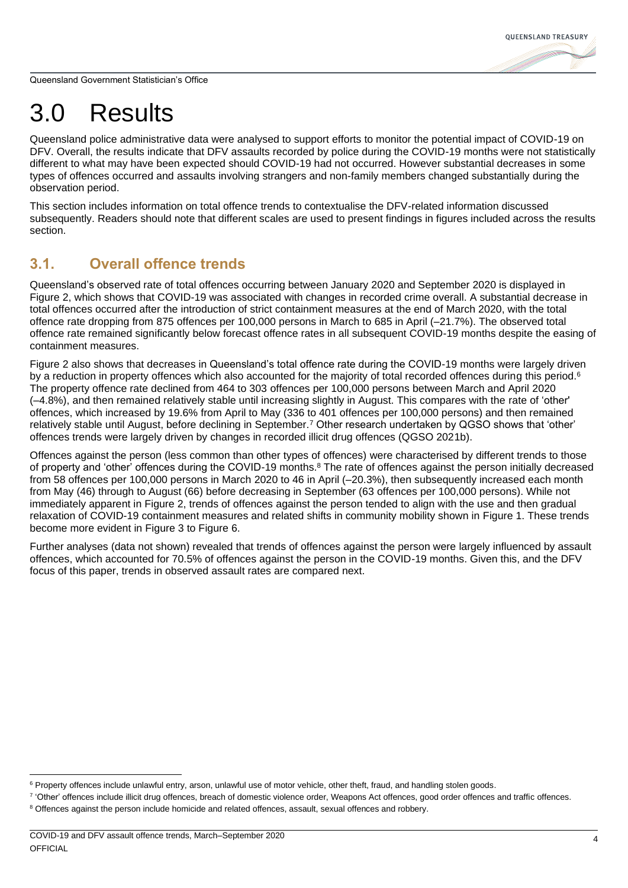# <span id="page-7-0"></span>3.0 Results

Queensland police administrative data were analysed to support efforts to monitor the potential impact of COVID-19 on DFV. Overall, the results indicate that DFV assaults recorded by police during the COVID-19 months were not statistically different to what may have been expected should COVID-19 had not occurred. However substantial decreases in some types of offences occurred and assaults involving strangers and non-family members changed substantially during the observation period.

This section includes information on total offence trends to contextualise the DFV-related information discussed subsequently. Readers should note that different scales are used to present findings in figures included across the results section.

### <span id="page-7-1"></span>**3.1. Overall offence trends**

Queensland's observed rate of total offences occurring between January 2020 and September 2020 is displayed in [Figure 2,](#page-8-1) which shows that COVID-19 was associated with changes in recorded crime overall. A substantial decrease in total offences occurred after the introduction of strict containment measures at the end of March 2020, with the total offence rate dropping from 875 offences per 100,000 persons in March to 685 in April (–21.7%). The observed total offence rate remained significantly below forecast offence rates in all subsequent COVID-19 months despite the easing of containment measures.

[Figure 2](#page-8-1) also shows that decreases in Queensland's total offence rate during the COVID-19 months were largely driven by a reduction in property offences which also accounted for the majority of total recorded offences during this period.<sup>6</sup> The property offence rate declined from 464 to 303 offences per 100,000 persons between March and April 2020 (–4.8%), and then remained relatively stable until increasing slightly in August. This compares with the rate of 'other' offences, which increased by 19.6% from April to May (336 to 401 offences per 100,000 persons) and then remained relatively stable until August, before declining in September.<sup>7</sup> Other research undertaken by QGSO shows that 'other' offences trends were largely driven by changes in recorded illicit drug offences (QGSO 2021b).

Offences against the person (less common than other types of offences) were characterised by different trends to those of property and 'other' offences during the COVID-19 months.<sup>8</sup> The rate of offences against the person initially decreased from 58 offences per 100,000 persons in March 2020 to 46 in April (–20.3%), then subsequently increased each month from May (46) through to August (66) before decreasing in September (63 offences per 100,000 persons). While not immediately apparent in [Figure 2,](#page-8-1) trends of offences against the person tended to align with the use and then gradual relaxation of COVID-19 containment measures and related shifts in community mobility shown in [Figure 1.](#page-5-2) These trends become more evident in [Figure 3](#page-8-2) to [Figure 6.](#page-10-0)

Further analyses (data not shown) revealed that trends of offences against the person were largely influenced by assault offences, which accounted for 70.5% of offences against the person in the COVID-19 months. Given this, and the DFV focus of this paper, trends in observed assault rates are compared next.

<sup>&</sup>lt;sup>6</sup> Property offences include unlawful entry, arson, unlawful use of motor vehicle, other theft, fraud, and handling stolen goods.

<sup>&</sup>lt;sup>7</sup> 'Other' offences include illicit drug offences, breach of domestic violence order, Weapons Act offences, good order offences and traffic offences.

<sup>&</sup>lt;sup>8</sup> Offences against the person include homicide and related offences, assault, sexual offences and robbery.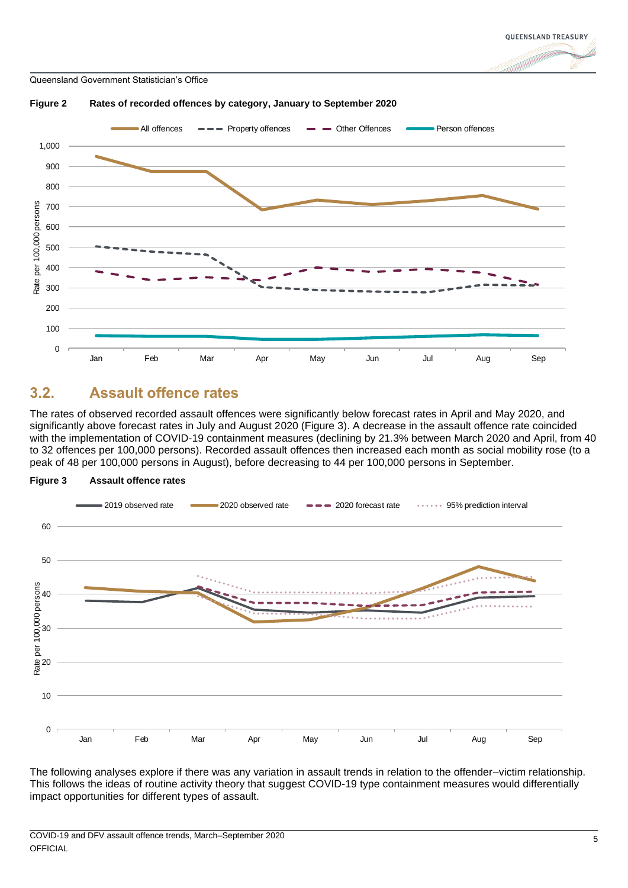<span id="page-8-1"></span>

### <span id="page-8-0"></span>**3.2. Assault offence rates**

The rates of observed recorded assault offences were significantly below forecast rates in April and May 2020, and significantly above forecast rates in July and August 2020 [\(Figure 3\)](#page-8-2). A decrease in the assault offence rate coincided with the implementation of COVID-19 containment measures (declining by 21.3% between March 2020 and April, from 40 to 32 offences per 100,000 persons). Recorded assault offences then increased each month as social mobility rose (to a peak of 48 per 100,000 persons in August), before decreasing to 44 per 100,000 persons in September.



<span id="page-8-2"></span>**Figure 3 Assault offence rates**

The following analyses explore if there was any variation in assault trends in relation to the offender–victim relationship. This follows the ideas of routine activity theory that suggest COVID-19 type containment measures would differentially impact opportunities for different types of assault.

**OUEENSLAND TREASURY**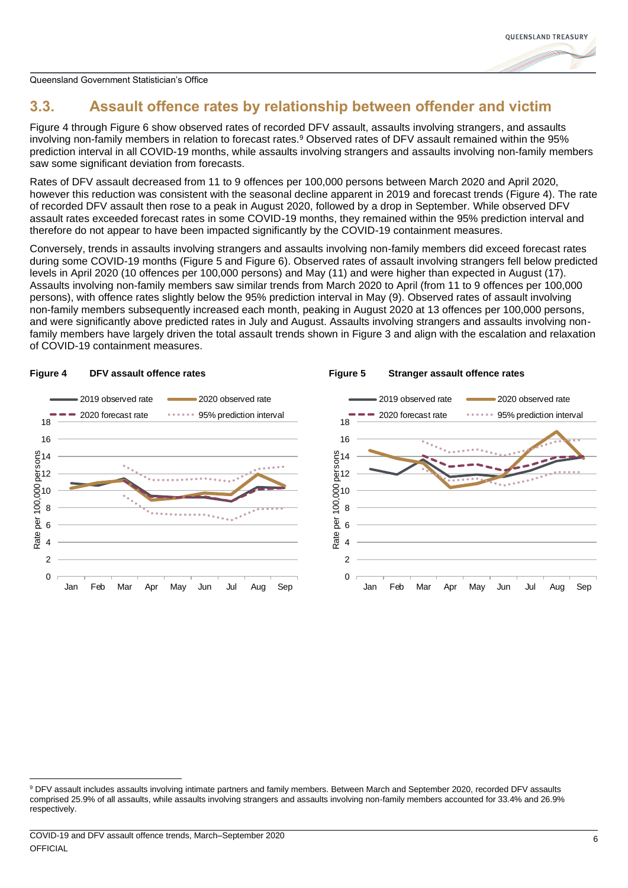

# <span id="page-9-0"></span>**3.3. Assault offence rates by relationship between offender and victim**

[Figure 4](#page-9-1) through [Figure](#page-10-0) 6 show observed rates of recorded DFV assault, assaults involving strangers, and assaults involving non-family members in relation to forecast rates.<sup>9</sup> Observed rates of DFV assault remained within the 95% prediction interval in all COVID-19 months, while assaults involving strangers and assaults involving non-family members saw some significant deviation from forecasts.

Rates of DFV assault decreased from 11 to 9 offences per 100,000 persons between March 2020 and April 2020, however this reduction was consistent with the seasonal decline apparent in 2019 and forecast trends [\(Figure 4\)](#page-9-1). The rate of recorded DFV assault then rose to a peak in August 2020, followed by a drop in September. While observed DFV assault rates exceeded forecast rates in some COVID-19 months, they remained within the 95% prediction interval and therefore do not appear to have been impacted significantly by the COVID-19 containment measures.

Conversely, trends in assaults involving strangers and assaults involving non-family members did exceed forecast rates during some COVID-19 months [\(Figure 5](#page-9-2) and [Figure](#page-10-0) 6). Observed rates of assault involving strangers fell below predicted levels in April 2020 (10 offences per 100,000 persons) and May (11) and were higher than expected in August (17). Assaults involving non-family members saw similar trends from March 2020 to April (from 11 to 9 offences per 100,000 persons), with offence rates slightly below the 95% prediction interval in May (9). Observed rates of assault involving non-family members subsequently increased each month, peaking in August 2020 at 13 offences per 100,000 persons, and were significantly above predicted rates in July and August. Assaults involving strangers and assaults involving nonfamily members have largely driven the total assault trends shown in [Figure 3](#page-8-2) and align with the escalation and relaxation of COVID-19 containment measures.

<span id="page-9-2"></span>**Figure 5 Stranger assault offence rates**



#### <span id="page-9-1"></span>**Figure 4 DFV assault offence rates**

<sup>9</sup> DFV assault includes assaults involving intimate partners and family members. Between March and September 2020, recorded DFV assaults comprised 25.9% of all assaults, while assaults involving strangers and assaults involving non-family members accounted for 33.4% and 26.9% respectively.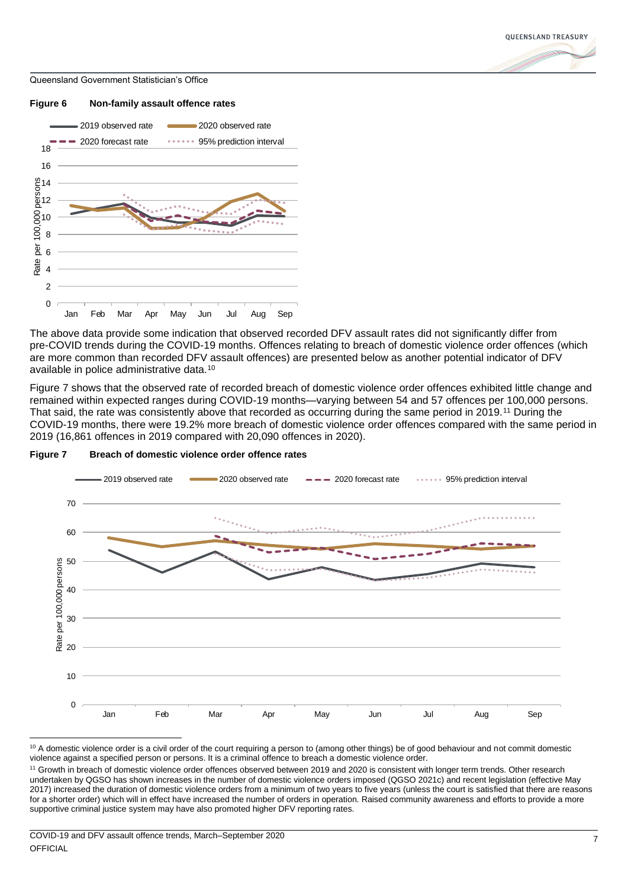

<span id="page-10-0"></span>

The above data provide some indication that observed recorded DFV assault rates did not significantly differ from pre-COVID trends during the COVID-19 months. Offences relating to breach of domestic violence order offences (which are more common than recorded DFV assault offences) are presented below as another potential indicator of DFV available in police administrative data.<sup>10</sup>

[Figure 7](#page-10-1) shows that the observed rate of recorded breach of domestic violence order offences exhibited little change and remained within expected ranges during COVID-19 months—varying between 54 and 57 offences per 100,000 persons. That said, the rate was consistently above that recorded as occurring during the same period in 2019.<sup>11</sup> During the COVID-19 months, there were 19.2% more breach of domestic violence order offences compared with the same period in 2019 (16,861 offences in 2019 compared with 20,090 offences in 2020).



### <span id="page-10-1"></span>**Figure 7 Breach of domestic violence order offence rates**

<sup>&</sup>lt;sup>10</sup> A domestic violence order is a civil order of the court requiring a person to (among other things) be of good behaviour and not commit domestic violence against a specified person or persons. It is a criminal offence to breach a domestic violence order.

<sup>&</sup>lt;sup>11</sup> Growth in breach of domestic violence order offences observed between 2019 and 2020 is consistent with longer term trends. Other research undertaken by QGSO has shown increases in the number of domestic violence orders imposed (QGSO 2021c) and recent legislation (effective May 2017) increased the duration of domestic violence orders from a minimum of two years to five years (unless the court is satisfied that there are reasons for a shorter order) which will in effect have increased the number of orders in operation. Raised community awareness and efforts to provide a more supportive criminal justice system may have also promoted higher DFV reporting rates.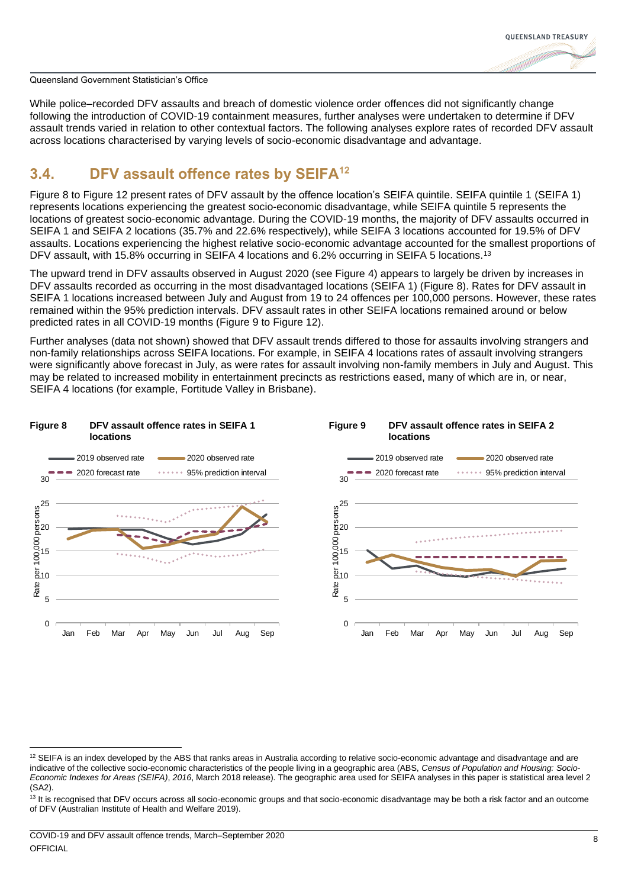

While police–recorded DFV assaults and breach of domestic violence order offences did not significantly change following the introduction of COVID-19 containment measures, further analyses were undertaken to determine if DFV assault trends varied in relation to other contextual factors. The following analyses explore rates of recorded DFV assault across locations characterised by varying levels of socio-economic disadvantage and advantage.

## <span id="page-11-0"></span>**3.4. DFV assault offence rates by SEIFA<sup>12</sup>**

[Figure 8](#page-11-1) to [Figure 12](#page-12-3) present rates of DFV assault by the offence location's SEIFA quintile. SEIFA quintile 1 (SEIFA 1) represents locations experiencing the greatest socio-economic disadvantage, while SEIFA quintile 5 represents the locations of greatest socio-economic advantage. During the COVID-19 months, the majority of DFV assaults occurred in SEIFA 1 and SEIFA 2 locations (35.7% and 22.6% respectively), while SEIFA 3 locations accounted for 19.5% of DFV assaults. Locations experiencing the highest relative socio-economic advantage accounted for the smallest proportions of DFV assault, with 15.8% occurring in SEIFA 4 locations and 6.2% occurring in SEIFA 5 locations.<sup>13</sup>

The upward trend in DFV assaults observed in August 2020 (see [Figure 4\)](#page-9-1) appears to largely be driven by increases in DFV assaults recorded as occurring in the most disadvantaged locations (SEIFA 1) [\(Figure 8\)](#page-11-1). Rates for DFV assault in SEIFA 1 locations increased between July and August from 19 to 24 offences per 100,000 persons. However, these rates remained within the 95% prediction intervals. DFV assault rates in other SEIFA locations remained around or below predicted rates in all COVID-19 months [\(Figure 9](#page-11-2) to [Figure 12\)](#page-12-3).

<span id="page-11-2"></span>Further analyses (data not shown) showed that DFV assault trends differed to those for assaults involving strangers and non-family relationships across SEIFA locations. For example, in SEIFA 4 locations rates of assault involving strangers were significantly above forecast in July, as were rates for assault involving non-family members in July and August. This may be related to increased mobility in entertainment precincts as restrictions eased, many of which are in, or near, SEIFA 4 locations (for example, Fortitude Valley in Brisbane).

<span id="page-11-1"></span>

 $12$  SEIFA is an index developed by the ABS that ranks areas in Australia according to relative socio-economic advantage and disadvantage and are indicative of the collective socio-economic characteristics of the people living in a geographic area (ABS, *Census of Population and Housing: Socio-Economic Indexes for Areas (SEIFA)*, *2016*, March 2018 release). The geographic area used for SEIFA analyses in this paper is statistical area level 2 (SA2).

<sup>&</sup>lt;sup>13</sup> It is recognised that DFV occurs across all socio-economic groups and that socio-economic disadvantage may be both a risk factor and an outcome of DFV (Australian Institute of Health and Welfare 2019).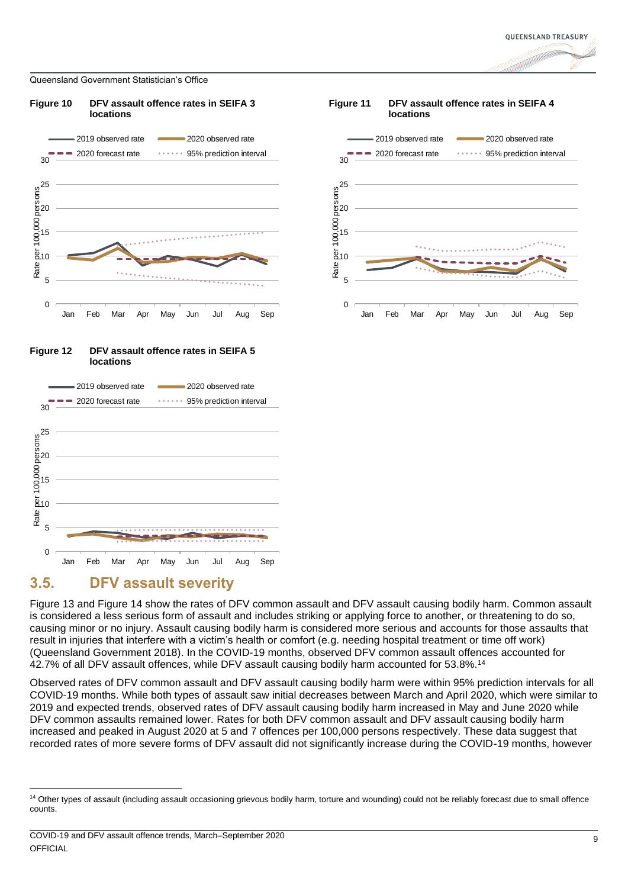<span id="page-12-1"></span>



<span id="page-12-3"></span>



# <span id="page-12-0"></span>**3.5. DFV assault severity**

[Figure 13](#page-13-1) and [Figure 14](#page-13-2) show the rates of DFV common assault and DFV assault causing bodily harm. Common assault is considered a less serious form of assault and includes striking or applying force to another, or threatening to do so, causing minor or no injury. Assault causing bodily harm is considered more serious and accounts for those assaults that result in injuries that interfere with a victim's health or comfort (e.g. needing hospital treatment or time off work) (Queensland Government 2018). In the COVID-19 months, observed DFV common assault offences accounted for 42.7% of all DFV assault offences, while DFV assault causing bodily harm accounted for 53.8%.<sup>14</sup>

Observed rates of DFV common assault and DFV assault causing bodily harm were within 95% prediction intervals for all COVID-19 months. While both types of assault saw initial decreases between March and April 2020, which were similar to 2019 and expected trends, observed rates of DFV assault causing bodily harm increased in May and June 2020 while DFV common assaults remained lower. Rates for both DFV common assault and DFV assault causing bodily harm increased and peaked in August 2020 at 5 and 7 offences per 100,000 persons respectively. These data suggest that recorded rates of more severe forms of DFV assault did not significantly increase during the COVID-19 months, however

<span id="page-12-2"></span>

<sup>&</sup>lt;sup>14</sup> Other types of assault (including assault occasioning grievous bodily harm, torture and wounding) could not be reliably forecast due to small offence counts.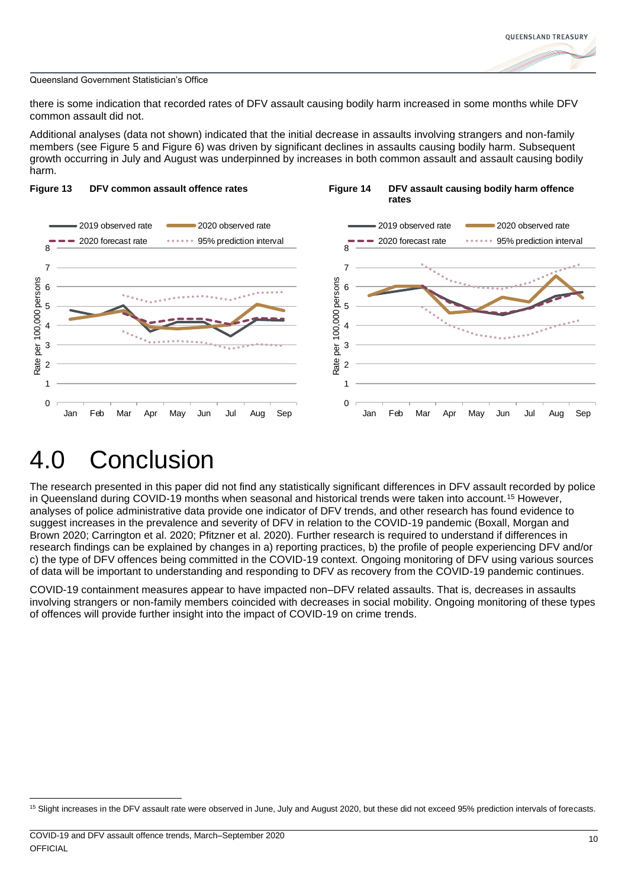<span id="page-13-2"></span>

there is some indication that recorded rates of DFV assault causing bodily harm increased in some months while DFV common assault did not.

Additional analyses (data not shown) indicated that the initial decrease in assaults involving strangers and non-family members (see [Figure 5](#page-9-2) and [Figure](#page-10-0) 6) was driven by significant declines in assaults causing bodily harm. Subsequent growth occurring in July and August was underpinned by increases in both common assault and assault causing bodily harm.

<span id="page-13-1"></span>

# <span id="page-13-0"></span>4.0 Conclusion

The research presented in this paper did not find any statistically significant differences in DFV assault recorded by police in Queensland during COVID-19 months when seasonal and historical trends were taken into account.<sup>15</sup> However, analyses of police administrative data provide one indicator of DFV trends, and other research has found evidence to suggest increases in the prevalence and severity of DFV in relation to the COVID-19 pandemic (Boxall, Morgan and Brown 2020; Carrington et al. 2020; Pfitzner et al. 2020). Further research is required to understand if differences in research findings can be explained by changes in a) reporting practices, b) the profile of people experiencing DFV and/or c) the type of DFV offences being committed in the COVID-19 context. Ongoing monitoring of DFV using various sources of data will be important to understanding and responding to DFV as recovery from the COVID-19 pandemic continues.

COVID-19 containment measures appear to have impacted non–DFV related assaults. That is, decreases in assaults involving strangers or non-family members coincided with decreases in social mobility. Ongoing monitoring of these types of offences will provide further insight into the impact of COVID-19 on crime trends.

<sup>&</sup>lt;sup>15</sup> Slight increases in the DFV assault rate were observed in June, July and August 2020, but these did not exceed 95% prediction intervals of forecasts.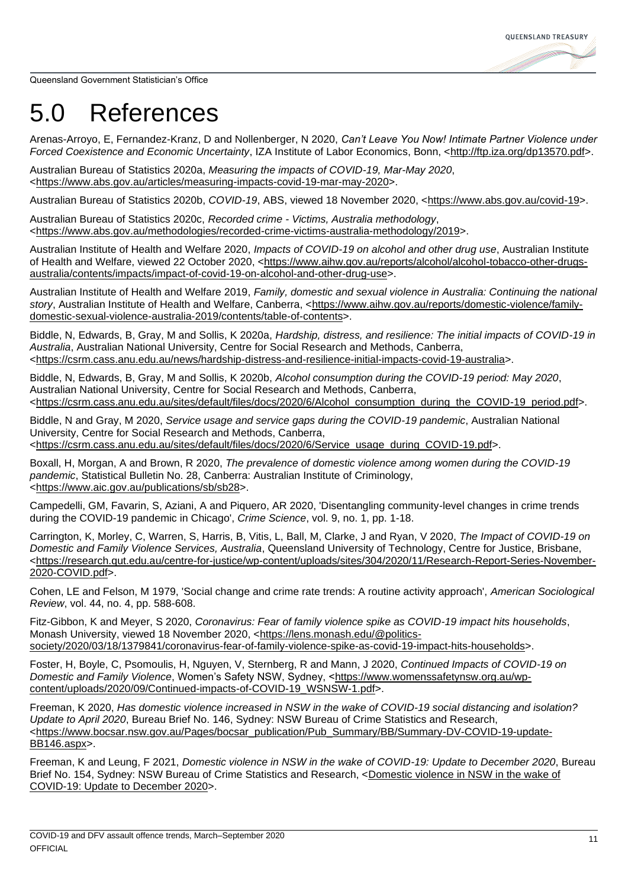**OUEENSLAND TREASURY** 

Queensland Government Statistician's Office

# <span id="page-14-0"></span>5.0 References

Arenas-Arroyo, E, Fernandez-Kranz, D and Nollenberger, N 2020, *Can't Leave You Now! Intimate Partner Violence under Forced Coexistence and Economic Uncertainty*, IZA Institute of Labor Economics, Bonn, [<http://ftp.iza.org/dp13570.pdf>](http://ftp.iza.org/dp13570.pdf).

Australian Bureau of Statistics 2020a, *Measuring the impacts of COVID-19, Mar-May 2020*, [<https://www.abs.gov.au/articles/measuring-impacts-covid-19-mar-may-2020>](https://www.abs.gov.au/articles/measuring-impacts-covid-19-mar-may-2020).

Australian Bureau of Statistics 2020b, *COVID-19*, ABS, viewed 18 November 2020, [<https://www.abs.gov.au/covid-19>](https://www.abs.gov.au/covid-19).

Australian Bureau of Statistics 2020c, *Recorded crime - Victims, Australia methodology*, [<https://www.abs.gov.au/methodologies/recorded-crime-victims-australia-methodology/2019>](https://www.abs.gov.au/methodologies/recorded-crime-victims-australia-methodology/2019).

Australian Institute of Health and Welfare 2020, *Impacts of COVID-19 on alcohol and other drug use*, Australian Institute of Health and Welfare, viewed 22 October 2020, [<https://www.aihw.gov.au/reports/alcohol/alcohol-tobacco-other-drugs](https://www.aihw.gov.au/reports/alcohol/alcohol-tobacco-other-drugs-australia/contents/impacts/impact-of-covid-19-on-alcohol-and-other-drug-use)[australia/contents/impacts/impact-of-covid-19-on-alcohol-and-other-drug-use>](https://www.aihw.gov.au/reports/alcohol/alcohol-tobacco-other-drugs-australia/contents/impacts/impact-of-covid-19-on-alcohol-and-other-drug-use).

Australian Institute of Health and Welfare 2019, *Family, domestic and sexual violence in Australia: Continuing the national story*, Australian Institute of Health and Welfare, Canberra, [<https://www.aihw.gov.au/reports/domestic-violence/family](https://www.aihw.gov.au/reports/domestic-violence/family-domestic-sexual-violence-australia-2019/contents/table-of-contents)[domestic-sexual-violence-australia-2019/contents/table-of-contents>](https://www.aihw.gov.au/reports/domestic-violence/family-domestic-sexual-violence-australia-2019/contents/table-of-contents).

Biddle, N, Edwards, B, Gray, M and Sollis, K 2020a, *Hardship, distress, and resilience: The initial impacts of COVID-19 in Australia*, Australian National University, Centre for Social Research and Methods, Canberra, [<https://csrm.cass.anu.edu.au/news/hardship-distress-and-resilience-initial-impacts-covid-19-australia>](https://csrm.cass.anu.edu.au/news/hardship-distress-and-resilience-initial-impacts-covid-19-australia).

Biddle, N, Edwards, B, Gray, M and Sollis, K 2020b, *Alcohol consumption during the COVID-19 period: May 2020*, Australian National University, Centre for Social Research and Methods, Canberra, [<https://csrm.cass.anu.edu.au/sites/default/files/docs/2020/6/Alcohol\\_consumption\\_during\\_the\\_COVID-19\\_period.pdf>](https://csrm.cass.anu.edu.au/sites/default/files/docs/2020/6/Alcohol_consumption_during_the_COVID-19_period.pdf).

Biddle, N and Gray, M 2020, *Service usage and service gaps during the COVID-19 pandemic*, Australian National University, Centre for Social Research and Methods, Canberra, [<https://csrm.cass.anu.edu.au/sites/default/files/docs/2020/6/Service\\_usage\\_during\\_COVID-19.pdf>](https://csrm.cass.anu.edu.au/sites/default/files/docs/2020/6/Service_usage_during_COVID-19.pdf).

Boxall, H, Morgan, A and Brown, R 2020, *The prevalence of domestic violence among women during the COVID-19 pandemic*, Statistical Bulletin No. 28, Canberra: Australian Institute of Criminology, [<https://www.aic.gov.au/publications/sb/sb28>](https://www.aic.gov.au/publications/sb/sb28).

Campedelli, GM, Favarin, S, Aziani, A and Piquero, AR 2020, 'Disentangling community-level changes in crime trends during the COVID-19 pandemic in Chicago', *Crime Science*, vol. 9, no. 1, pp. 1-18.

Carrington, K, Morley, C, Warren, S, Harris, B, Vitis, L, Ball, M, Clarke, J and Ryan, V 2020, *The Impact of COVID-19 on Domestic and Family Violence Services, Australia*, Queensland University of Technology, Centre for Justice, Brisbane, [<https://research.qut.edu.au/centre-for-justice/wp-content/uploads/sites/304/2020/11/Research-Report-Series-November-](https://research.qut.edu.au/centre-for-justice/wp-content/uploads/sites/304/2020/11/Research-Report-Series-November-2020-COVID.pdf)[2020-COVID.pdf>](https://research.qut.edu.au/centre-for-justice/wp-content/uploads/sites/304/2020/11/Research-Report-Series-November-2020-COVID.pdf).

Cohen, LE and Felson, M 1979, 'Social change and crime rate trends: A routine activity approach', *American Sociological Review*, vol. 44, no. 4, pp. 588-608.

Fitz-Gibbon, K and Meyer, S 2020, *Coronavirus: Fear of family violence spike as COVID-19 impact hits households*, Monash University, viewed 18 November 2020, [<https://lens.monash.edu/@politics](https://lens.monash.edu/@politics-society/2020/03/18/1379841/coronavirus-fear-of-family-violence-spike-as-covid-19-impact-hits-households)[society/2020/03/18/1379841/coronavirus-fear-of-family-violence-spike-as-covid-19-impact-hits-households>](https://lens.monash.edu/@politics-society/2020/03/18/1379841/coronavirus-fear-of-family-violence-spike-as-covid-19-impact-hits-households).

Foster, H, Boyle, C, Psomoulis, H, Nguyen, V, Sternberg, R and Mann, J 2020, *Continued Impacts of COVID-19 on Domestic and Family Violence*, Women's Safety NSW, Sydney, [<https://www.womenssafetynsw.org.au/wp](https://www.womenssafetynsw.org.au/wp-content/uploads/2020/09/Continued-impacts-of-COVID-19_WSNSW-1.pdf)[content/uploads/2020/09/Continued-impacts-of-COVID-19\\_WSNSW-1.pdf>](https://www.womenssafetynsw.org.au/wp-content/uploads/2020/09/Continued-impacts-of-COVID-19_WSNSW-1.pdf).

Freeman, K 2020, *Has domestic violence increased in NSW in the wake of COVID-19 social distancing and isolation? Update to April 2020*, Bureau Brief No. 146, Sydney: NSW Bureau of Crime Statistics and Research, [<https://www.bocsar.nsw.gov.au/Pages/bocsar\\_publication/Pub\\_Summary/BB/Summary-DV-COVID-19-update-](https://www.bocsar.nsw.gov.au/Pages/bocsar_publication/Pub_Summary/BB/Summary-DV-COVID-19-update-BB146.aspx)[BB146.aspx>](https://www.bocsar.nsw.gov.au/Pages/bocsar_publication/Pub_Summary/BB/Summary-DV-COVID-19-update-BB146.aspx).

Freeman, K and Leung, F 2021, *Domestic violence in NSW in the wake of COVID-19: Update to December 2020*, Bureau Brief No. 154, Sydney: NSW Bureau of Crime Statistics and Research, [<Domestic violence in NSW in the wake of](https://www.bocsar.nsw.gov.au/Publications/BB/2021-Report-Domestic-Violence-COVID-update-Dec2020-BB154.pdf)  [COVID-19: Update to December 2020>](https://www.bocsar.nsw.gov.au/Publications/BB/2021-Report-Domestic-Violence-COVID-update-Dec2020-BB154.pdf).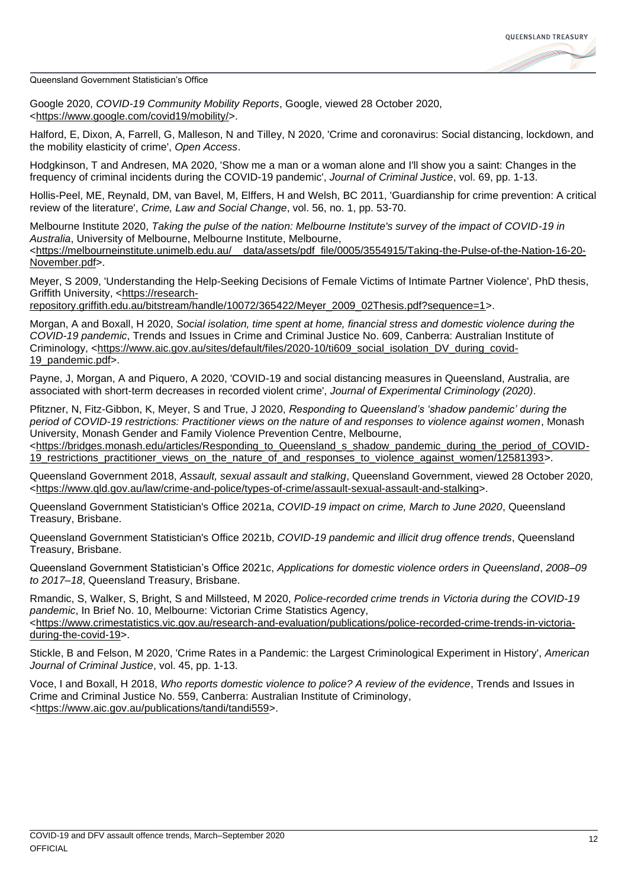

Google 2020, *COVID-19 Community Mobility Reports*, Google, viewed 28 October 2020, [<https://www.google.com/covid19/mobility/>](https://www.google.com/covid19/mobility/).

Halford, E, Dixon, A, Farrell, G, Malleson, N and Tilley, N 2020, 'Crime and coronavirus: Social distancing, lockdown, and the mobility elasticity of crime', *Open Access*.

Hodgkinson, T and Andresen, MA 2020, 'Show me a man or a woman alone and I'll show you a saint: Changes in the frequency of criminal incidents during the COVID-19 pandemic', *Journal of Criminal Justice*, vol. 69, pp. 1-13.

Hollis-Peel, ME, Reynald, DM, van Bavel, M, Elffers, H and Welsh, BC 2011, 'Guardianship for crime prevention: A critical review of the literature', *Crime, Law and Social Change*, vol. 56, no. 1, pp. 53-70.

Melbourne Institute 2020, *Taking the pulse of the nation: Melbourne Institute's survey of the impact of COVID-19 in Australia*, University of Melbourne, Melbourne Institute, Melbourne, [<https://melbourneinstitute.unimelb.edu.au/\\_\\_data/assets/pdf\\_file/0005/3554915/Taking-the-Pulse-of-the-Nation-16-20-](https://melbourneinstitute.unimelb.edu.au/__data/assets/pdf_file/0005/3554915/Taking-the-Pulse-of-the-Nation-16-20-November.pdf) [November.pdf>](https://melbourneinstitute.unimelb.edu.au/__data/assets/pdf_file/0005/3554915/Taking-the-Pulse-of-the-Nation-16-20-November.pdf).

Meyer, S 2009, 'Understanding the Help-Seeking Decisions of Female Victims of Intimate Partner Violence', PhD thesis, Griffith University, [<https://research-](https://research-repository.griffith.edu.au/bitstream/handle/10072/365422/Meyer_2009_02Thesis.pdf?sequence=1)

[repository.griffith.edu.au/bitstream/handle/10072/365422/Meyer\\_2009\\_02Thesis.pdf?sequence=1>](https://research-repository.griffith.edu.au/bitstream/handle/10072/365422/Meyer_2009_02Thesis.pdf?sequence=1).

Morgan, A and Boxall, H 2020, *Social isolation, time spent at home, financial stress and domestic violence during the COVID-19 pandemic*, Trends and Issues in Crime and Criminal Justice No. 609, Canberra: Australian Institute of Criminology, [<https://www.aic.gov.au/sites/default/files/2020-10/ti609\\_social\\_isolation\\_DV\\_during\\_covid-](https://www.aic.gov.au/sites/default/files/2020-10/ti609_social_isolation_DV_during_covid-19_pandemic.pdf)[19\\_pandemic.pdf>](https://www.aic.gov.au/sites/default/files/2020-10/ti609_social_isolation_DV_during_covid-19_pandemic.pdf).

Payne, J, Morgan, A and Piquero, A 2020, 'COVID-19 and social distancing measures in Queensland, Australia, are associated with short-term decreases in recorded violent crime', *Journal of Experimental Criminology (2020)*.

Pfitzner, N, Fitz-Gibbon, K, Meyer, S and True, J 2020, *Responding to Queensland's 'shadow pandemic' during the period of COVID-19 restrictions: Practitioner views on the nature of and responses to violence against women*, Monash University, Monash Gender and Family Violence Prevention Centre, Melbourne,

[<https://bridges.monash.edu/articles/Responding\\_to\\_Queensland\\_s\\_shadow\\_pandemic\\_during\\_the\\_period\\_of\\_COVID-](https://bridges.monash.edu/articles/Responding_to_Queensland_s_shadow_pandemic_during_the_period_of_COVID-19_restrictions_practitioner_views_on_the_nature_of_and_responses_to_violence_against_women/12581393)19 restrictions practitioner views on the nature of and responses to violence against women/12581393>.

Queensland Government 2018, *Assault, sexual assault and stalking*, Queensland Government, viewed 28 October 2020, [<https://www.qld.gov.au/law/crime-and-police/types-of-crime/assault-sexual-assault-and-stalking>](https://www.qld.gov.au/law/crime-and-police/types-of-crime/assault-sexual-assault-and-stalking).

Queensland Government Statistician's Office 2021a, *COVID-19 impact on crime, March to June 2020*, Queensland Treasury, Brisbane.

Queensland Government Statistician's Office 2021b, *COVID-19 pandemic and illicit drug offence trends*, Queensland Treasury, Brisbane.

Queensland Government Statistician's Office 2021c, *Applications for domestic violence orders in Queensland*, *2008–09 to 2017–18*, Queensland Treasury, Brisbane.

Rmandic, S, Walker, S, Bright, S and Millsteed, M 2020, *Police-recorded crime trends in Victoria during the COVID-19 pandemic*, In Brief No. 10, Melbourne: Victorian Crime Statistics Agency, [<https://www.crimestatistics.vic.gov.au/research-and-evaluation/publications/police-recorded-crime-trends-in-victoria](https://www.crimestatistics.vic.gov.au/research-and-evaluation/publications/police-recorded-crime-trends-in-victoria-during-the-covid-19)[during-the-covid-19>](https://www.crimestatistics.vic.gov.au/research-and-evaluation/publications/police-recorded-crime-trends-in-victoria-during-the-covid-19).

Stickle, B and Felson, M 2020, 'Crime Rates in a Pandemic: the Largest Criminological Experiment in History', *American Journal of Criminal Justice*, vol. 45, pp. 1-13.

Voce, I and Boxall, H 2018, *Who reports domestic violence to police? A review of the evidence*, Trends and Issues in Crime and Criminal Justice No. 559, Canberra: Australian Institute of Criminology, [<https://www.aic.gov.au/publications/tandi/tandi559>](https://www.aic.gov.au/publications/tandi/tandi559).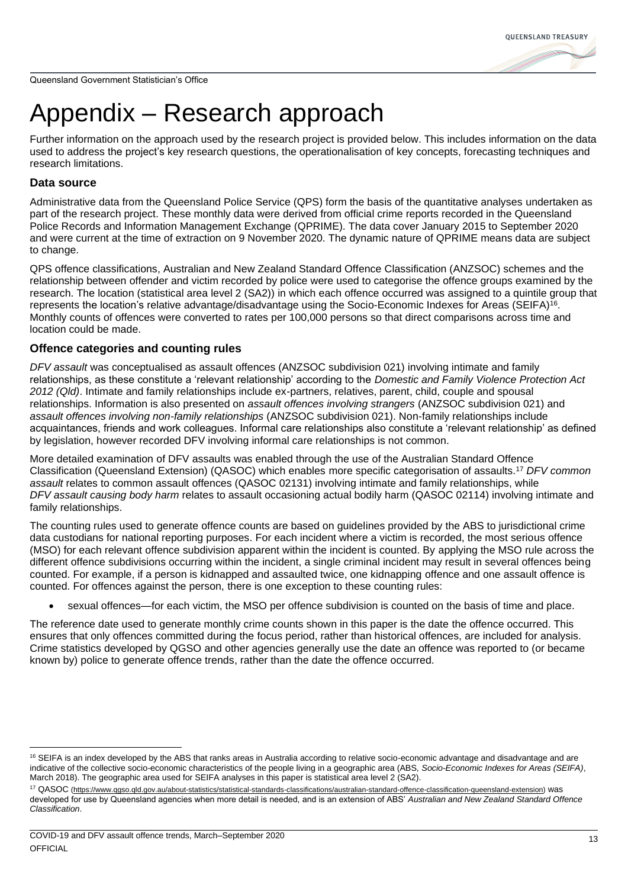# <span id="page-16-0"></span>Appendix – Research approach

Further information on the approach used by the research project is provided below. This includes information on the data used to address the project's key research questions, the operationalisation of key concepts, forecasting techniques and research limitations.

### **Data source**

Administrative data from the Queensland Police Service (QPS) form the basis of the quantitative analyses undertaken as part of the research project. These monthly data were derived from official crime reports recorded in the Queensland Police Records and Information Management Exchange (QPRIME). The data cover January 2015 to September 2020 and were current at the time of extraction on 9 November 2020. The dynamic nature of QPRIME means data are subject to change.

QPS offence classifications, Australian and New Zealand Standard Offence Classification (ANZSOC) schemes and the relationship between offender and victim recorded by police were used to categorise the offence groups examined by the research. The location (statistical area level 2 (SA2)) in which each offence occurred was assigned to a quintile group that represents the location's relative advantage/disadvantage using the Socio-Economic Indexes for Areas (SEIFA)<sup>16</sup>. Monthly counts of offences were converted to rates per 100,000 persons so that direct comparisons across time and location could be made.

### **Offence categories and counting rules**

*DFV assault* was conceptualised as assault offences (ANZSOC subdivision 021) involving intimate and family relationships, as these constitute a 'relevant relationship' according to the *Domestic and Family Violence Protection Act 2012 (Qld)*. Intimate and family relationships include ex-partners, relatives, parent, child, couple and spousal relationships. Information is also presented on *assault offences involving strangers* (ANZSOC subdivision 021) and *assault offences involving non-family relationships* (ANZSOC subdivision 021). Non-family relationships include acquaintances, friends and work colleagues. Informal care relationships also constitute a 'relevant relationship' as defined by legislation, however recorded DFV involving informal care relationships is not common.

More detailed examination of DFV assaults was enabled through the use of the Australian Standard Offence Classification (Queensland Extension) (QASOC) which enables more specific categorisation of assaults. <sup>17</sup> *DFV common assault* relates to common assault offences (QASOC 02131) involving intimate and family relationships, while *DFV assault causing body harm* relates to assault occasioning actual bodily harm (QASOC 02114) involving intimate and family relationships.

The counting rules used to generate offence counts are based on guidelines provided by the ABS to jurisdictional crime data custodians for national reporting purposes. For each incident where a victim is recorded, the most serious offence (MSO) for each relevant offence subdivision apparent within the incident is counted. By applying the MSO rule across the different offence subdivisions occurring within the incident, a single criminal incident may result in several offences being counted. For example, if a person is kidnapped and assaulted twice, one kidnapping offence and one assault offence is counted. For offences against the person, there is one exception to these counting rules:

• sexual offences—for each victim, the MSO per offence subdivision is counted on the basis of time and place.

The reference date used to generate monthly crime counts shown in this paper is the date the offence occurred. This ensures that only offences committed during the focus period, rather than historical offences, are included for analysis. Crime statistics developed by QGSO and other agencies generally use the date an offence was reported to (or became known by) police to generate offence trends, rather than the date the offence occurred.

<sup>&</sup>lt;sup>16</sup> SEIFA is an index developed by the ABS that ranks areas in Australia according to relative socio-economic advantage and disadvantage and are indicative of the collective socio-economic characteristics of the people living in a geographic area (ABS, *Socio-Economic Indexes for Areas (SEIFA)*, March 2018). The geographic area used for SEIFA analyses in this paper is statistical area level 2 (SA2).

<sup>&</sup>lt;sup>17</sup> QASOC [\(https://www.qgso.qld.gov.au/about-statistics/statistical-standards-classifications/australian-standard-offence-classification-queensland-extension\)](https://www.qgso.qld.gov.au/about-statistics/statistical-standards-classifications/australian-standard-offence-classification-queensland-extension) was developed for use by Queensland agencies when more detail is needed, and is an extension of ABS' *Australian and New Zealand Standard Offence Classification*.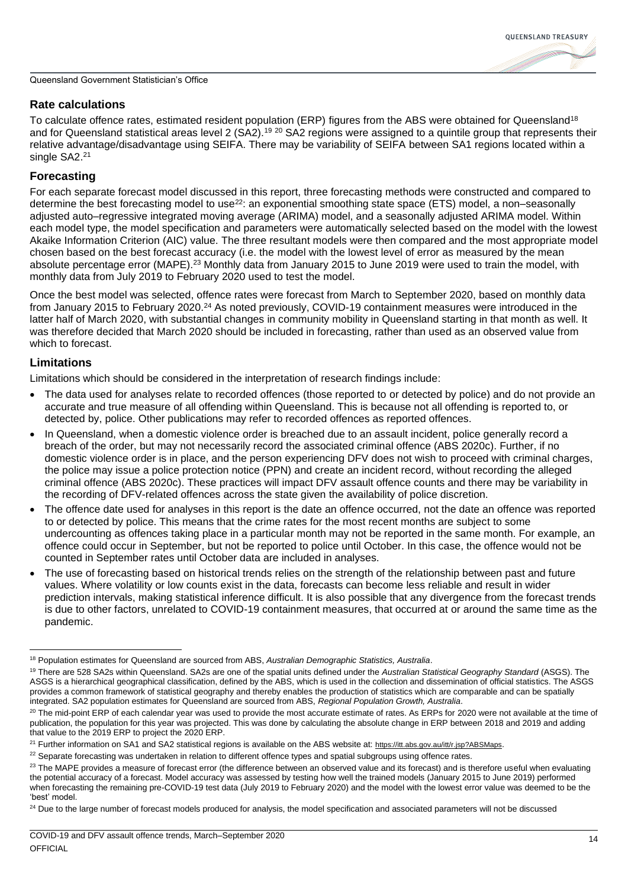### **Rate calculations**

To calculate offence rates, estimated resident population (ERP) figures from the ABS were obtained for Queensland<sup>18</sup> and for Queensland statistical areas level 2 (SA2).<sup>19 20</sup> SA2 regions were assigned to a quintile group that represents their relative advantage/disadvantage using SEIFA. There may be variability of SEIFA between SA1 regions located within a single SA2.<sup>21</sup>

### **Forecasting**

For each separate forecast model discussed in this report, three forecasting methods were constructed and compared to determine the best forecasting model to use<sup>22</sup>: an exponential smoothing state space (ETS) model, a non–seasonally adjusted auto–regressive integrated moving average (ARIMA) model, and a seasonally adjusted ARIMA model. Within each model type, the model specification and parameters were automatically selected based on the model with the lowest Akaike Information Criterion (AIC) value. The three resultant models were then compared and the most appropriate model chosen based on the best forecast accuracy (i.e. the model with the lowest level of error as measured by the mean absolute percentage error (MAPE).<sup>23</sup> Monthly data from January 2015 to June 2019 were used to train the model, with monthly data from July 2019 to February 2020 used to test the model.

Once the best model was selected, offence rates were forecast from March to September 2020, based on monthly data from January 2015 to February 2020.<sup>24</sup> As noted previously, COVID-19 containment measures were introduced in the latter half of March 2020, with substantial changes in community mobility in Queensland starting in that month as well. It was therefore decided that March 2020 should be included in forecasting, rather than used as an observed value from which to forecast.

### **Limitations**

Limitations which should be considered in the interpretation of research findings include:

- The data used for analyses relate to recorded offences (those reported to or detected by police) and do not provide an accurate and true measure of all offending within Queensland. This is because not all offending is reported to, or detected by, police. Other publications may refer to recorded offences as reported offences.
- In Queensland, when a domestic violence order is breached due to an assault incident, police generally record a breach of the order, but may not necessarily record the associated criminal offence (ABS 2020c). Further, if no domestic violence order is in place, and the person experiencing DFV does not wish to proceed with criminal charges, the police may issue a police protection notice (PPN) and create an incident record, without recording the alleged criminal offence (ABS 2020c). These practices will impact DFV assault offence counts and there may be variability in the recording of DFV-related offences across the state given the availability of police discretion.
- The offence date used for analyses in this report is the date an offence occurred, not the date an offence was reported to or detected by police. This means that the crime rates for the most recent months are subject to some undercounting as offences taking place in a particular month may not be reported in the same month. For example, an offence could occur in September, but not be reported to police until October. In this case, the offence would not be counted in September rates until October data are included in analyses.
- The use of forecasting based on historical trends relies on the strength of the relationship between past and future values. Where volatility or low counts exist in the data, forecasts can become less reliable and result in wider prediction intervals, making statistical inference difficult. It is also possible that any divergence from the forecast trends is due to other factors, unrelated to COVID-19 containment measures, that occurred at or around the same time as the pandemic.

<sup>18</sup> Population estimates for Queensland are sourced from ABS, *Australian Demographic Statistics, Australia*.

<sup>19</sup> There are 528 SA2s within Queensland. SA2s are one of the spatial units defined under the *Australian Statistical Geography Standard* (ASGS). The ASGS is a hierarchical geographical classification, defined by the ABS, which is used in the collection and dissemination of official statistics. The ASGS provides a common framework of statistical geography and thereby enables the production of statistics which are comparable and can be spatially integrated. SA2 population estimates for Queensland are sourced from ABS, *Regional Population Growth, Australia*.

<sup>&</sup>lt;sup>20</sup> The mid-point ERP of each calendar year was used to provide the most accurate estimate of rates. As ERPs for 2020 were not available at the time of publication, the population for this year was projected. This was done by calculating the absolute change in ERP between 2018 and 2019 and adding that value to the 2019 ERP to project the 2020 ERP.

<sup>&</sup>lt;sup>21</sup> Further information on SA1 and SA2 statistical regions is available on the ABS website at: <https://itt.abs.gov.au/itt/r.jsp?ABSMaps>.

 $22$  Separate forecasting was undertaken in relation to different offence types and spatial subgroups using offence rates.

<sup>&</sup>lt;sup>23</sup> The MAPE provides a measure of forecast error (the difference between an observed value and its forecast) and is therefore useful when evaluating the potential accuracy of a forecast. Model accuracy was assessed by testing how well the trained models (January 2015 to June 2019) performed when forecasting the remaining pre-COVID-19 test data (July 2019 to February 2020) and the model with the lowest error value was deemed to be the 'best' model.

<sup>&</sup>lt;sup>24</sup> Due to the large number of forecast models produced for analysis, the model specification and associated parameters will not be discussed